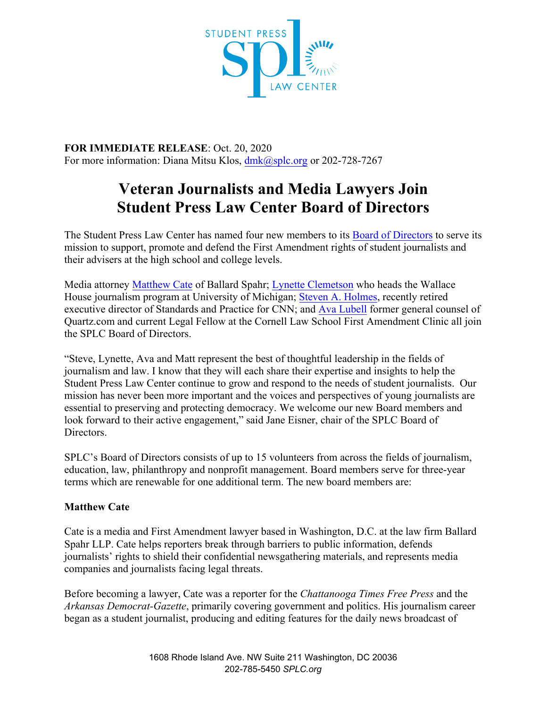

**FOR IMMEDIATE RELEASE**: Oct. 20, 2020 For more information: Diana Mitsu Klos, [dmk@splc.org](mailto:dmk@splc.org) or 202-728-7267

# **Veteran Journalists and Media Lawyers Join Student Press Law Center Board of Directors**

The Student Press Law Center has named four new members to its Board of [Directors](https://splc.org/board/) to serve its mission to support, promote and defend the First Amendment rights of student journalists and their advisers at the high school and college levels.

Media attorney [Matthew Cate](https://www.ballardspahr.com/people/attorneys/cate-matthew) of Ballard Spahr; [Lynette Clemetson](https://wallacehouse.umich.edu/wallace-house/staff/) who heads the Wallace House journalism program at University of Michigan; [Steven A. Holmes,](https://www.cnn.com/profiles/steven-holmes-profile) recently retired executive director of Standards and Practice for CNN; and [Ava Lubell](https://www.lawschool.cornell.edu/spotlights/First-Amendment-Clinic-Hires-Ava-Lubell-as-Local-Journalism-Attorney-for-New-York-Metro-Area.cfm) former general counsel of Quartz.com and current Legal Fellow at the Cornell Law School First Amendment Clinic all join the SPLC Board of Directors.

"Steve, Lynette, Ava and Matt represent the best of thoughtful leadership in the fields of journalism and law. I know that they will each share their expertise and insights to help the Student Press Law Center continue to grow and respond to the needs of student journalists. Our mission has never been more important and the voices and perspectives of young journalists are essential to preserving and protecting democracy. We welcome our new Board members and look forward to their active engagement," said Jane Eisner, chair of the SPLC Board of Directors.

SPLC's Board of Directors consists of up to 15 volunteers from across the fields of journalism, education, law, philanthropy and nonprofit management. Board members serve for three-year terms which are renewable for one additional term. The new board members are:

## **Matthew Cate**

Cate is a media and First Amendment lawyer based in Washington, D.C. at the law firm Ballard Spahr LLP. Cate helps reporters break through barriers to public information, defends journalists' rights to shield their confidential newsgathering materials, and represents media companies and journalists facing legal threats.

Before becoming a lawyer, Cate was a reporter for the *Chattanooga Times Free Press* and the *Arkansas Democrat-Gazette*, primarily covering government and politics. His journalism career began as a student journalist, producing and editing features for the daily news broadcast of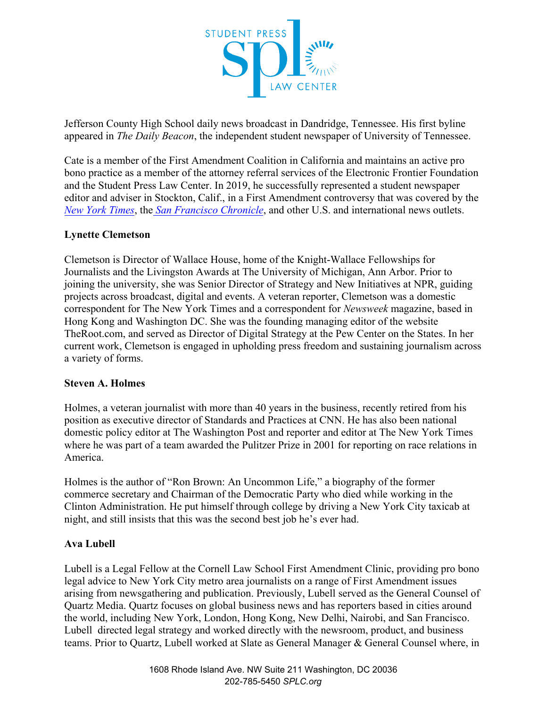

Jefferson County High School daily news broadcast in Dandridge, Tennessee. His first byline appeared in *The Daily Beacon*, the independent student newspaper of University of Tennessee.

Cate is a member of the First Amendment Coalition in California and maintains an active pro bono practice as a member of the attorney referral services of the Electronic Frontier Foundation and the Student Press Law Center. In 2019, he successfully represented a student newspaper editor and adviser in Stockton, Calif., in a First Amendment controversy that was covered by th[e](https://www.nytimes.com/2019/05/03/business/media/school-newspaper-porn-article.html) *[New York Times](https://www.nytimes.com/2019/05/03/business/media/school-newspaper-porn-article.html)*, the *[San Francisco Chronicle](https://www.sfchronicle.com/bayarea/article/Lodi-district-teacher-clash-over-newspaper-story-13793453.php)*, and other U.S. and international news outlets.

## **Lynette Clemetson**

Clemetson is Director of Wallace House, home of the Knight-Wallace Fellowships for Journalists and the Livingston Awards at The University of Michigan, Ann Arbor. Prior to joining the university, she was Senior Director of Strategy and New Initiatives at NPR, guiding projects across broadcast, digital and events. A veteran reporter, Clemetson was a domestic correspondent for The New York Times and a correspondent for *Newsweek* magazine, based in Hong Kong and Washington DC. She was the founding managing editor of the website TheRoot.com, and served as Director of Digital Strategy at the Pew Center on the States. In her current work, Clemetson is engaged in upholding press freedom and sustaining journalism across a variety of forms.

### **Steven A. Holmes**

Holmes, a veteran journalist with more than 40 years in the business, recently retired from his position as executive director of Standards and Practices at CNN. He has also been national domestic policy editor at The Washington Post and reporter and editor at The New York Times where he was part of a team awarded the Pulitzer Prize in 2001 for reporting on race relations in America.

Holmes is the author of "Ron Brown: An Uncommon Life," a biography of the former commerce secretary and Chairman of the Democratic Party who died while working in the Clinton Administration. He put himself through college by driving a New York City taxicab at night, and still insists that this was the second best job he's ever had.

## **Ava Lubell**

Lubell is a Legal Fellow at the Cornell Law School First Amendment Clinic, providing pro bono legal advice to New York City metro area journalists on a range of First Amendment issues arising from newsgathering and publication. Previously, Lubell served as the General Counsel of Quartz Media. Quartz focuses on global business news and has reporters based in cities around the world, including New York, London, Hong Kong, New Delhi, Nairobi, and San Francisco. Lubell directed legal strategy and worked directly with the newsroom, product, and business teams. Prior to Quartz, Lubell worked at Slate as General Manager & General Counsel where, in